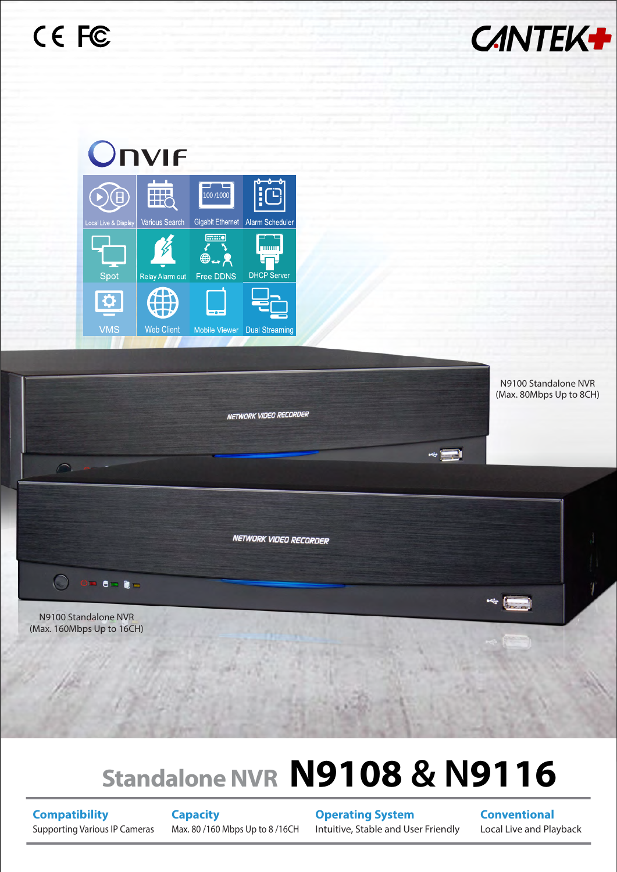





## **Standalone NVR N9108 & N9116**

**Compatibility** Supporting Various IP Cameras **Capacity** Max. 80 /160 Mbps Up to 8 /16CH **Operating System** Intuitive, Stable and User Friendly

**Conventional** Local Live and Playback